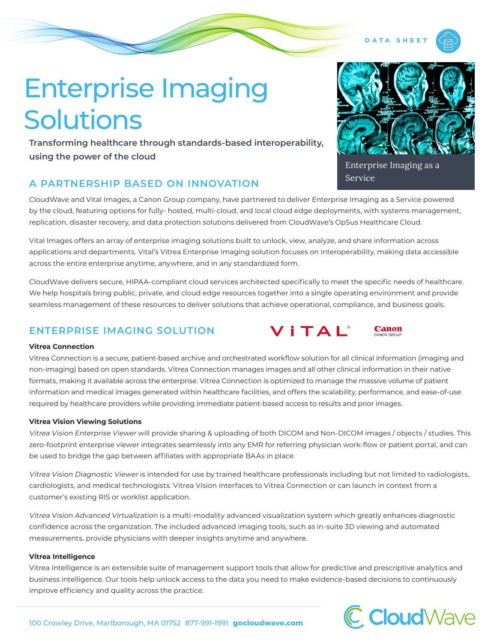# Enterprise Imaging Solutions

**Transforming healthcare through standards-based interoperability, using the power of the cloud**

## **A PARTNERSHIP BASED ON INNOVATION**

CloudWave and Vital Images, a Canon Group company, have partnered to deliver Enterprise Imaging as a Service powered by the cloud, featuring options for fully- hosted, multi-cloud, and local cloud edge deployments, with systems management, replication, disaster recovery, and data protection solutions delivered from CloudWave's OpSus Healthcare Cloud.

Vital Images offers an array of enterprise imaging solutions built to unlock, view, analyze, and share information across applications and departments. Vital's Vitrea Enterprise Imaging solution focuses on interoperability, making data accessible across the entire enterprise anytime, anywhere, and in any standardized form.

CloudWave delivers secure, HIPAA-compliant cloud services architected specifically to meet the specific needs of healthcare. We help hospitals bring public, private, and cloud edge resources together into a single operating environment and provide seamless management of these resources to deliver solutions that achieve operational, compliance, and business goals.

## **ENTERPRISE IMAGING SOLUTION**

#### **Vitrea Connection**

Vitrea Connection is a secure, patient-based archive and orchestrated workflow solution for all clinical information (imaging and non-imaging) based on open standards. Vitrea Connection manages images and all other clinical information in their native formats, making it available across the enterprise. Vitrea Connection is optimized to manage the massive volume of patient information and medical images generated within healthcare facilities, and offers the scalability, performance, and ease-of-use required by healthcare providers while providing immediate patient-based access to results and prior images.

#### **Vitrea Vision Viewing Solutions**

Vitrea Vision Enterprise Viewer will provide sharing & uploading of both DICOM and Non-DICOM images / objects / studies. This zero-footprint enterprise viewer integrates seamlessly into any EMR for referring physician work-flow or patient portal, and can be used to bridge the gap between affiliates with appropriate BAAs in place.

Vitrea Vision Diagnostic Viewer is intended for use by trained healthcare professionals including but not limited to radiologists, cardiologists, and medical technologists. Vitrea Vision interfaces to Vitrea Connection or can launch in context from a customer's existing RIS or worklist application.

Vitrea Vision Advanced Virtualization is a multi-modality advanced visualization system which greatly enhances diagnostic confidence across the organization. The included advanced imaging tools, such as in-suite 3D viewing and automated measurements, provide physicians with deeper insights anytime and anywhere.

#### **Vitrea Intelligence**

Vitrea Intelligence is an extensible suite of management support tools that allow for predictive and prescriptive analytics and business intelligence. Our tools help unlock access to the data you need to make evidence-based decisions to continuously improve efficiency and quality across the practice.



# Enterprise Imaging as a Service





**DATA SHEE**